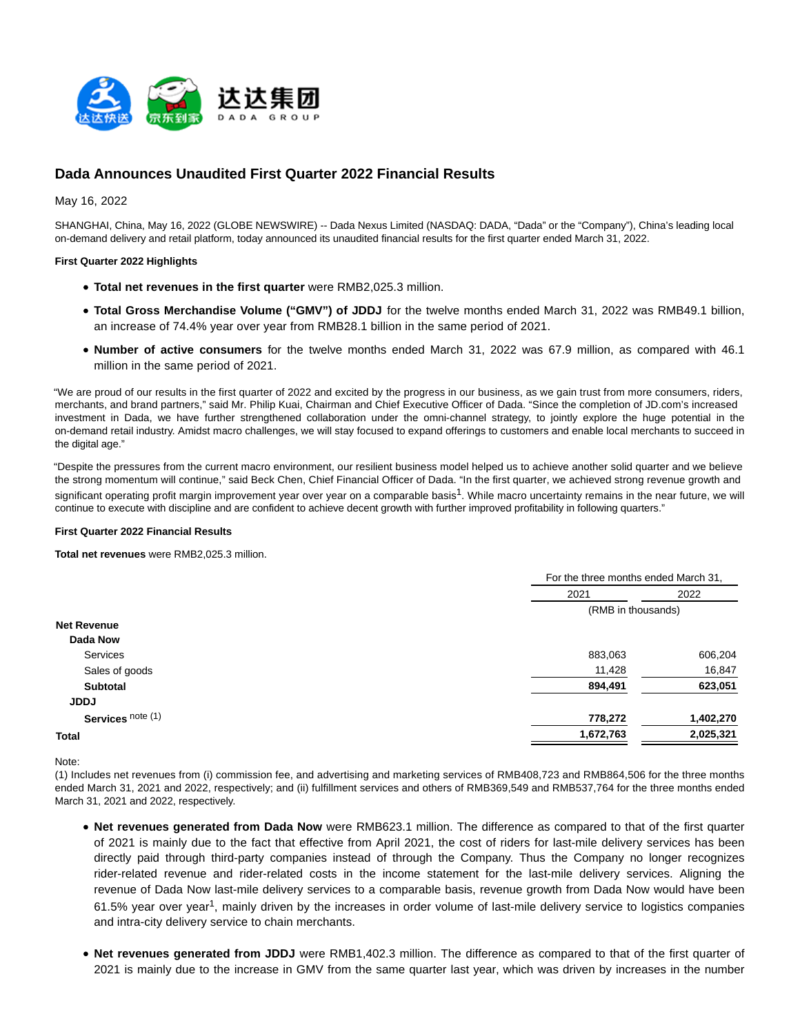

# **Dada Announces Unaudited First Quarter 2022 Financial Results**

May 16, 2022

SHANGHAI, China, May 16, 2022 (GLOBE NEWSWIRE) -- Dada Nexus Limited (NASDAQ: DADA, "Dada" or the "Company"), China's leading local on-demand delivery and retail platform, today announced its unaudited financial results for the first quarter ended March 31, 2022.

### **First Quarter 2022 Highlights**

- **Total net revenues in the first quarter** were RMB2,025.3 million.
- **Total Gross Merchandise Volume ("GMV") of JDDJ** for the twelve months ended March 31, 2022 was RMB49.1 billion, an increase of 74.4% year over year from RMB28.1 billion in the same period of 2021.
- **Number of active consumers** for the twelve months ended March 31, 2022 was 67.9 million, as compared with 46.1 million in the same period of 2021.

"We are proud of our results in the first quarter of 2022 and excited by the progress in our business, as we gain trust from more consumers, riders, merchants, and brand partners," said Mr. Philip Kuai, Chairman and Chief Executive Officer of Dada. "Since the completion of JD.com's increased investment in Dada, we have further strengthened collaboration under the omni-channel strategy, to jointly explore the huge potential in the on-demand retail industry. Amidst macro challenges, we will stay focused to expand offerings to customers and enable local merchants to succeed in the digital age."

"Despite the pressures from the current macro environment, our resilient business model helped us to achieve another solid quarter and we believe the strong momentum will continue," said Beck Chen, Chief Financial Officer of Dada. "In the first quarter, we achieved strong revenue growth and significant operating profit margin improvement year over year on a comparable basis<sup>1</sup>. While macro uncertainty remains in the near future, we will continue to execute with discipline and are confident to achieve decent growth with further improved profitability in following quarters."

### **First Quarter 2022 Financial Results**

**Total net revenues** were RMB2,025.3 million.

|                    |                    | For the three months ended March 31, |  |
|--------------------|--------------------|--------------------------------------|--|
|                    | 2021               | 2022                                 |  |
|                    | (RMB in thousands) |                                      |  |
| <b>Net Revenue</b> |                    |                                      |  |
| Dada Now           |                    |                                      |  |
| Services           | 883,063            | 606,204                              |  |
| Sales of goods     | 11,428             | 16,847                               |  |
| <b>Subtotal</b>    | 894,491            | 623,051                              |  |
| <b>JDDJ</b>        |                    |                                      |  |
| Services note (1)  | 778,272            | 1,402,270                            |  |
| <b>Total</b>       | 1,672,763          | 2,025,321                            |  |
|                    |                    |                                      |  |

Note:

(1) Includes net revenues from (i) commission fee, and advertising and marketing services of RMB408,723 and RMB864,506 for the three months ended March 31, 2021 and 2022, respectively; and (ii) fulfillment services and others of RMB369,549 and RMB537,764 for the three months ended March 31, 2021 and 2022, respectively.

- **Net revenues generated from Dada Now** were RMB623.1 million. The difference as compared to that of the first quarter of 2021 is mainly due to the fact that effective from April 2021, the cost of riders for last-mile delivery services has been directly paid through third-party companies instead of through the Company. Thus the Company no longer recognizes rider-related revenue and rider-related costs in the income statement for the last-mile delivery services. Aligning the revenue of Dada Now last-mile delivery services to a comparable basis, revenue growth from Dada Now would have been 61.5% year over year<sup>1</sup>, mainly driven by the increases in order volume of last-mile delivery service to logistics companies and intra-city delivery service to chain merchants.
- **Net revenues generated from JDDJ** were RMB1,402.3 million. The difference as compared to that of the first quarter of 2021 is mainly due to the increase in GMV from the same quarter last year, which was driven by increases in the number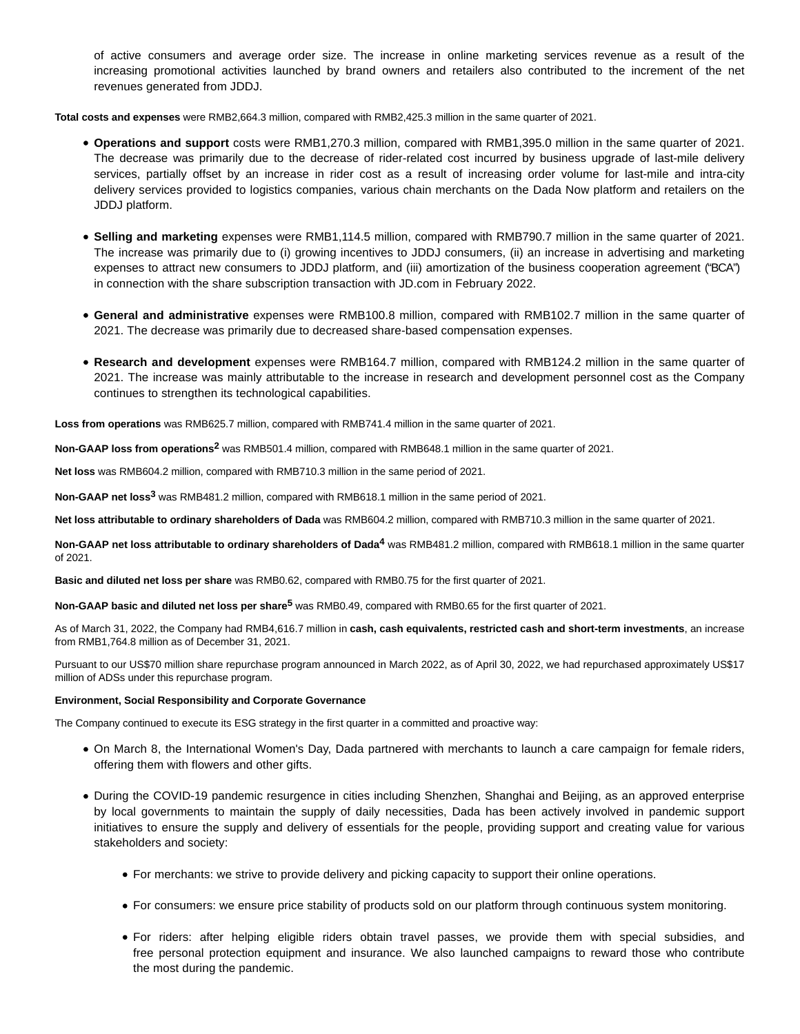of active consumers and average order size. The increase in online marketing services revenue as a result of the increasing promotional activities launched by brand owners and retailers also contributed to the increment of the net revenues generated from JDDJ.

**Total costs and expenses** were RMB2,664.3 million, compared with RMB2,425.3 million in the same quarter of 2021.

- **Operations and support** costs were RMB1,270.3 million, compared with RMB1,395.0 million in the same quarter of 2021. The decrease was primarily due to the decrease of rider-related cost incurred by business upgrade of last-mile delivery services, partially offset by an increase in rider cost as a result of increasing order volume for last-mile and intra-city delivery services provided to logistics companies, various chain merchants on the Dada Now platform and retailers on the JDDJ platform.
- **Selling and marketing** expenses were RMB1,114.5 million, compared with RMB790.7 million in the same quarter of 2021. The increase was primarily due to (i) growing incentives to JDDJ consumers, (ii) an increase in advertising and marketing expenses to attract new consumers to JDDJ platform, and (iii) amortization of the business cooperation agreement ("BCA") in connection with the share subscription transaction with JD.com in February 2022.
- **General and administrative** expenses were RMB100.8 million, compared with RMB102.7 million in the same quarter of 2021. The decrease was primarily due to decreased share-based compensation expenses.
- **Research and development** expenses were RMB164.7 million, compared with RMB124.2 million in the same quarter of 2021. The increase was mainly attributable to the increase in research and development personnel cost as the Company continues to strengthen its technological capabilities.

**Loss from operations** was RMB625.7 million, compared with RMB741.4 million in the same quarter of 2021.

**Non-GAAP loss from operations2** was RMB501.4 million, compared with RMB648.1 million in the same quarter of 2021.

**Net loss** was RMB604.2 million, compared with RMB710.3 million in the same period of 2021.

**Non-GAAP net loss3** was RMB481.2 million, compared with RMB618.1 million in the same period of 2021.

**Net loss attributable to ordinary shareholders of Dada** was RMB604.2 million, compared with RMB710.3 million in the same quarter of 2021.

**Non-GAAP net loss attributable to ordinary shareholders of Dada4** was RMB481.2 million, compared with RMB618.1 million in the same quarter of 2021.

**Basic and diluted net loss per share** was RMB0.62, compared with RMB0.75 for the first quarter of 2021.

**Non-GAAP basic and diluted net loss per share5** was RMB0.49, compared with RMB0.65 for the first quarter of 2021.

As of March 31, 2022, the Company had RMB4,616.7 million in **cash, cash equivalents, restricted cash and short-term investments**, an increase from RMB1,764.8 million as of December 31, 2021.

Pursuant to our US\$70 million share repurchase program announced in March 2022, as of April 30, 2022, we had repurchased approximately US\$17 million of ADSs under this repurchase program.

#### **Environment, Social Responsibility and Corporate Governance**

The Company continued to execute its ESG strategy in the first quarter in a committed and proactive way:

- On March 8, the International Women's Day, Dada partnered with merchants to launch a care campaign for female riders, offering them with flowers and other gifts.
- During the COVID-19 pandemic resurgence in cities including Shenzhen, Shanghai and Beijing, as an approved enterprise by local governments to maintain the supply of daily necessities, Dada has been actively involved in pandemic support initiatives to ensure the supply and delivery of essentials for the people, providing support and creating value for various stakeholders and society:
	- For merchants: we strive to provide delivery and picking capacity to support their online operations.
	- For consumers: we ensure price stability of products sold on our platform through continuous system monitoring.
	- For riders: after helping eligible riders obtain travel passes, we provide them with special subsidies, and free personal protection equipment and insurance. We also launched campaigns to reward those who contribute the most during the pandemic.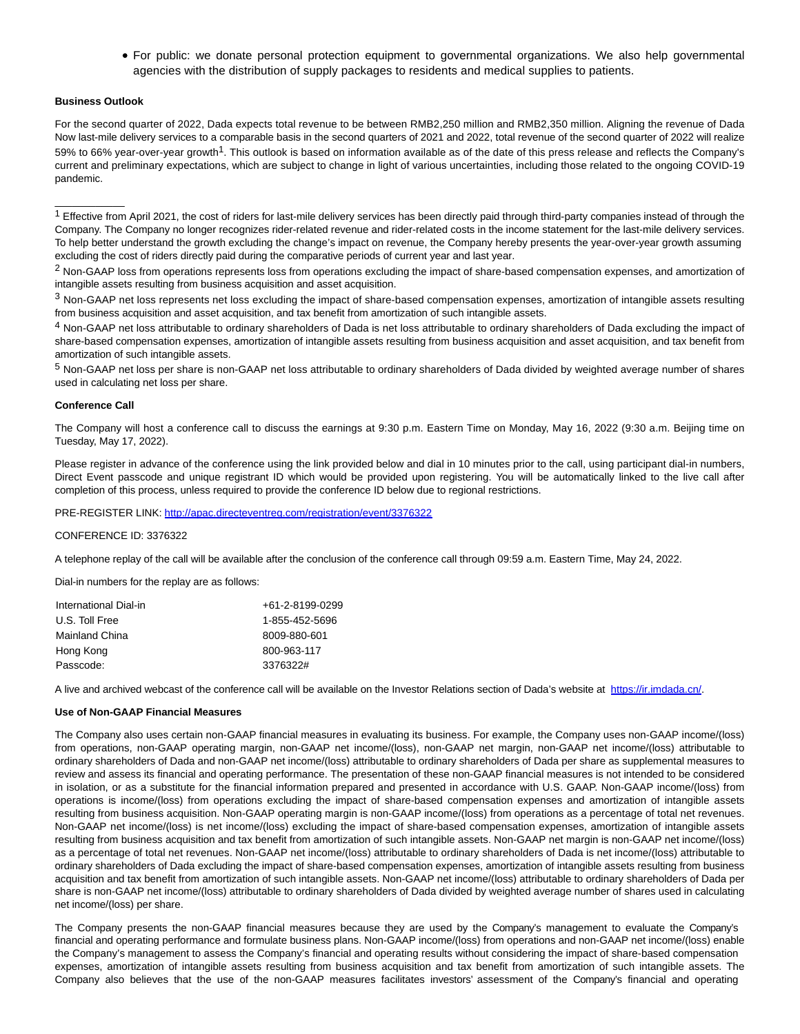For public: we donate personal protection equipment to governmental organizations. We also help governmental agencies with the distribution of supply packages to residents and medical supplies to patients.

## **Business Outlook**

\_\_\_\_\_\_\_\_\_\_\_\_

For the second quarter of 2022, Dada expects total revenue to be between RMB2,250 million and RMB2,350 million. Aligning the revenue of Dada Now last-mile delivery services to a comparable basis in the second quarters of 2021 and 2022, total revenue of the second quarter of 2022 will realize 59% to 66% year-over-year growth<sup>1</sup>. This outlook is based on information available as of the date of this press release and reflects the Company's current and preliminary expectations, which are subject to change in light of various uncertainties, including those related to the ongoing COVID-19 pandemic.

5 Non-GAAP net loss per share is non-GAAP net loss attributable to ordinary shareholders of Dada divided by weighted average number of shares used in calculating net loss per share.

#### **Conference Call**

The Company will host a conference call to discuss the earnings at 9:30 p.m. Eastern Time on Monday, May 16, 2022 (9:30 a.m. Beijing time on Tuesday, May 17, 2022).

Please register in advance of the conference using the link provided below and dial in 10 minutes prior to the call, using participant dial-in numbers, Direct Event passcode and unique registrant ID which would be provided upon registering. You will be automatically linked to the live call after completion of this process, unless required to provide the conference ID below due to regional restrictions.

PRE-REGISTER LINK[: http://apac.directeventreg.com/registration/event/3376322](https://www.globenewswire.com/Tracker?data=jAUqVDH3Jym4uZqc-3az31__OO2yKBgvOww-9tbSZLFG-fh5bHUTpKPV5FoevDGAToaceOnXX6g3I-b1p_EyqAuQe-JspYE7oeppXGaTD889TuK6LPE-BIJJnDFz_88tb0MMEE5wQya_uSNB38kRjKelGfpwIMPxt_HJZfd6zgnVma4GM9qHGWufmcImOfhC)

## CONFERENCE ID: 3376322

A telephone replay of the call will be available after the conclusion of the conference call through 09:59 a.m. Eastern Time, May 24, 2022.

Dial-in numbers for the replay are as follows:

| International Dial-in | +61-2-8199-0299 |
|-----------------------|-----------------|
| U.S. Toll Free        | 1-855-452-5696  |
| Mainland China        | 8009-880-601    |
| Hong Kong             | 800-963-117     |
| Passcode:             | 3376322#        |

A live and archived webcast of the conference call will be available on the Investor Relations section of Dada's website at [https://ir.imdada.cn/.](https://www.globenewswire.com/Tracker?data=h_sYSxwhzeEvmQLPShDhQGvK0BXhEpYXaxs0JpRqsTtBVvDhFmX06ZmznJa6GaybXc556gyyer6vPxrmpRg0Fi37s3QgGfbUO6mjzAvUVj4=)

#### **Use of Non-GAAP Financial Measures**

The Company also uses certain non-GAAP financial measures in evaluating its business. For example, the Company uses non-GAAP income/(loss) from operations, non-GAAP operating margin, non-GAAP net income/(loss), non-GAAP net margin, non-GAAP net income/(loss) attributable to ordinary shareholders of Dada and non-GAAP net income/(loss) attributable to ordinary shareholders of Dada per share as supplemental measures to review and assess its financial and operating performance. The presentation of these non-GAAP financial measures is not intended to be considered in isolation, or as a substitute for the financial information prepared and presented in accordance with U.S. GAAP. Non-GAAP income/(loss) from operations is income/(loss) from operations excluding the impact of share-based compensation expenses and amortization of intangible assets resulting from business acquisition. Non-GAAP operating margin is non-GAAP income/(loss) from operations as a percentage of total net revenues. Non-GAAP net income/(loss) is net income/(loss) excluding the impact of share-based compensation expenses, amortization of intangible assets resulting from business acquisition and tax benefit from amortization of such intangible assets. Non-GAAP net margin is non-GAAP net income/(loss) as a percentage of total net revenues. Non-GAAP net income/(loss) attributable to ordinary shareholders of Dada is net income/(loss) attributable to ordinary shareholders of Dada excluding the impact of share-based compensation expenses, amortization of intangible assets resulting from business acquisition and tax benefit from amortization of such intangible assets. Non-GAAP net income/(loss) attributable to ordinary shareholders of Dada per share is non-GAAP net income/(loss) attributable to ordinary shareholders of Dada divided by weighted average number of shares used in calculating net income/(loss) per share.

The Company presents the non-GAAP financial measures because they are used by the Company's management to evaluate the Company's financial and operating performance and formulate business plans. Non-GAAP income/(loss) from operations and non-GAAP net income/(loss) enable the Company's management to assess the Company's financial and operating results without considering the impact of share-based compensation expenses, amortization of intangible assets resulting from business acquisition and tax benefit from amortization of such intangible assets. The Company also believes that the use of the non-GAAP measures facilitates investors' assessment of the Company's financial and operating

 $1$  Effective from April 2021, the cost of riders for last-mile delivery services has been directly paid through third-party companies instead of through the Company. The Company no longer recognizes rider-related revenue and rider-related costs in the income statement for the last-mile delivery services. To help better understand the growth excluding the change's impact on revenue, the Company hereby presents the year-over-year growth assuming excluding the cost of riders directly paid during the comparative periods of current year and last year.

<sup>&</sup>lt;sup>2</sup> Non-GAAP loss from operations represents loss from operations excluding the impact of share-based compensation expenses, and amortization of intangible assets resulting from business acquisition and asset acquisition.

 $3$  Non-GAAP net loss represents net loss excluding the impact of share-based compensation expenses, amortization of intangible assets resulting from business acquisition and asset acquisition, and tax benefit from amortization of such intangible assets.

<sup>&</sup>lt;sup>4</sup> Non-GAAP net loss attributable to ordinary shareholders of Dada is net loss attributable to ordinary shareholders of Dada excluding the impact of share-based compensation expenses, amortization of intangible assets resulting from business acquisition and asset acquisition, and tax benefit from amortization of such intangible assets.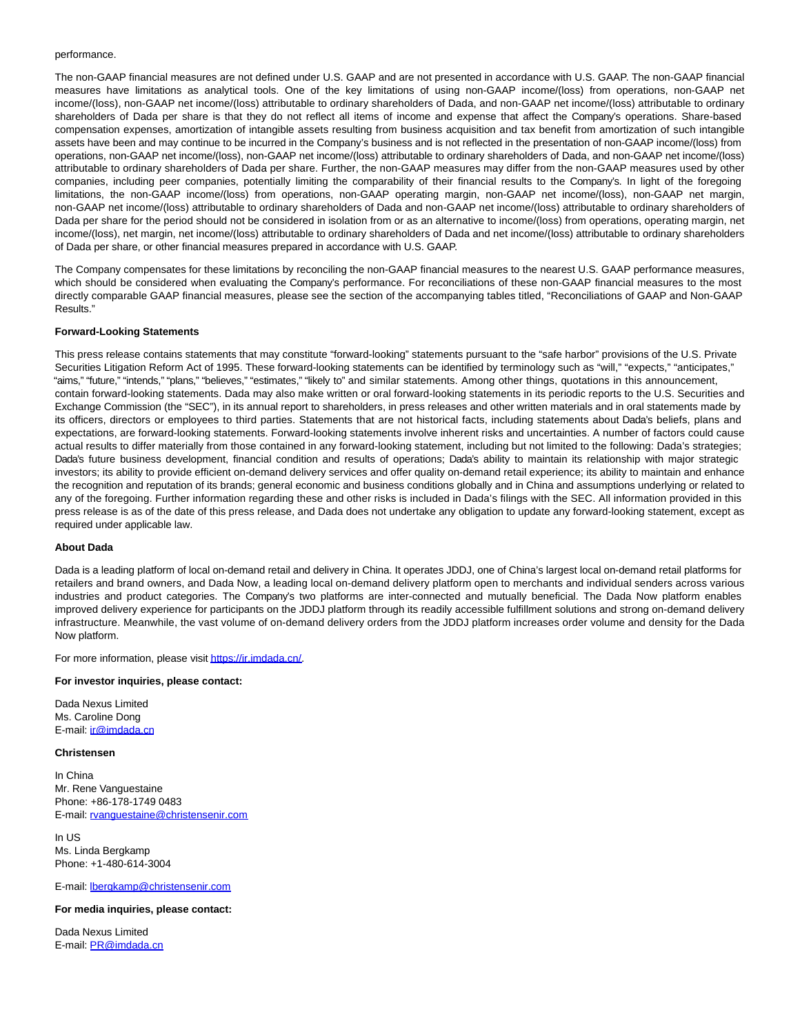#### performance.

The non-GAAP financial measures are not defined under U.S. GAAP and are not presented in accordance with U.S. GAAP. The non-GAAP financial measures have limitations as analytical tools. One of the key limitations of using non-GAAP income/(loss) from operations, non-GAAP net income/(loss), non-GAAP net income/(loss) attributable to ordinary shareholders of Dada, and non-GAAP net income/(loss) attributable to ordinary shareholders of Dada per share is that they do not reflect all items of income and expense that affect the Company's operations. Share-based compensation expenses, amortization of intangible assets resulting from business acquisition and tax benefit from amortization of such intangible assets have been and may continue to be incurred in the Company's business and is not reflected in the presentation of non-GAAP income/(loss) from operations, non-GAAP net income/(loss), non-GAAP net income/(loss) attributable to ordinary shareholders of Dada, and non-GAAP net income/(loss) attributable to ordinary shareholders of Dada per share. Further, the non-GAAP measures may differ from the non-GAAP measures used by other companies, including peer companies, potentially limiting the comparability of their financial results to the Company's. In light of the foregoing limitations, the non-GAAP income/(loss) from operations, non-GAAP operating margin, non-GAAP net income/(loss), non-GAAP net margin, non-GAAP net income/(loss) attributable to ordinary shareholders of Dada and non-GAAP net income/(loss) attributable to ordinary shareholders of Dada per share for the period should not be considered in isolation from or as an alternative to income/(loss) from operations, operating margin, net income/(loss), net margin, net income/(loss) attributable to ordinary shareholders of Dada and net income/(loss) attributable to ordinary shareholders of Dada per share, or other financial measures prepared in accordance with U.S. GAAP.

The Company compensates for these limitations by reconciling the non-GAAP financial measures to the nearest U.S. GAAP performance measures, which should be considered when evaluating the Company's performance. For reconciliations of these non-GAAP financial measures to the most directly comparable GAAP financial measures, please see the section of the accompanying tables titled, "Reconciliations of GAAP and Non-GAAP Results."

#### **Forward-Looking Statements**

This press release contains statements that may constitute "forward-looking" statements pursuant to the "safe harbor" provisions of the U.S. Private Securities Litigation Reform Act of 1995. These forward-looking statements can be identified by terminology such as "will," "expects," "anticipates," "aims," "future," "intends," "plans," "believes," "estimates," "likely to" and similar statements. Among other things, quotations in this announcement, contain forward-looking statements. Dada may also make written or oral forward-looking statements in its periodic reports to the U.S. Securities and Exchange Commission (the "SEC"), in its annual report to shareholders, in press releases and other written materials and in oral statements made by its officers, directors or employees to third parties. Statements that are not historical facts, including statements about Dada's beliefs, plans and expectations, are forward-looking statements. Forward-looking statements involve inherent risks and uncertainties. A number of factors could cause actual results to differ materially from those contained in any forward-looking statement, including but not limited to the following: Dada's strategies; Dada's future business development, financial condition and results of operations; Dada's ability to maintain its relationship with major strategic investors; its ability to provide efficient on-demand delivery services and offer quality on-demand retail experience; its ability to maintain and enhance the recognition and reputation of its brands; general economic and business conditions globally and in China and assumptions underlying or related to any of the foregoing. Further information regarding these and other risks is included in Dada's filings with the SEC. All information provided in this press release is as of the date of this press release, and Dada does not undertake any obligation to update any forward-looking statement, except as required under applicable law.

#### **About Dada**

Dada is a leading platform of local on-demand retail and delivery in China. It operates JDDJ, one of China's largest local on-demand retail platforms for retailers and brand owners, and Dada Now, a leading local on-demand delivery platform open to merchants and individual senders across various industries and product categories. The Company's two platforms are inter-connected and mutually beneficial. The Dada Now platform enables improved delivery experience for participants on the JDDJ platform through its readily accessible fulfillment solutions and strong on-demand delivery infrastructure. Meanwhile, the vast volume of on-demand delivery orders from the JDDJ platform increases order volume and density for the Dada Now platform.

For more information, please visi[t https://ir.imdada.cn/.](https://www.globenewswire.com/Tracker?data=h_sYSxwhzeEvmQLPShDhQGvK0BXhEpYXaxs0JpRqsTskEQU49qYTuZy7yjesVpGC0tneInfVcsYnsDPCNQJSHMz7X5C5FSvs0W0HSRms5sQ=)

#### **For investor inquiries, please contact:**

Dada Nexus Limited Ms. Caroline Dong E-mail: [ir@imdada.cn](https://www.globenewswire.com/Tracker?data=7w-fsinb0--m5KuzviXUtsTd2KH9JG7Fcq62O-fzOl65ErHblBofQZ1B5RXUFqE6LHBFVc6JnfIYJLZmJLwLvA==)

#### **Christensen**

In China Mr. Rene Vanguestaine Phone: +86-178-1749 0483 E-mail: [rvanguestaine@christensenir.com](https://www.globenewswire.com/Tracker?data=SsM2wfzS90cGgmvCUGyXX6A4WDKyAJHGi1hLGeWPJpqrCu40K_9CtdNVq7O5Kh_LAwRW6hoavIRkfxWYhvSfUris1-5M2FSqd-SCbCEHbyFKf2evP457gVUZBCbeOCth)

In US Ms. Linda Bergkamp Phone: +1-480-614-3004

E-mail: [lbergkamp@christensenir.com](https://www.globenewswire.com/Tracker?data=vE-RN86z_EW6OIxK6bNx_GIklehMLwtNwNQrUV1Pq_gqFpK03FgdU2-bZJmpFxSnN5CecuONf7i-yFZq051bRBHCx5IKliXHT1OQzrR_E5ibSDA_YI9CVG6l_6NWOyua)

### **For media inquiries, please contact:**

Dada Nexus Limited E-mail: [PR@imdada.cn](https://www.globenewswire.com/Tracker?data=oE-Z1FqpmZik9BfJbe4X0klAV9YWDenqfWij0l6c7LnNMbSvlanlhZOf1tRPqs0iX_UEvxqH0RA9ipWVkvwjHg==)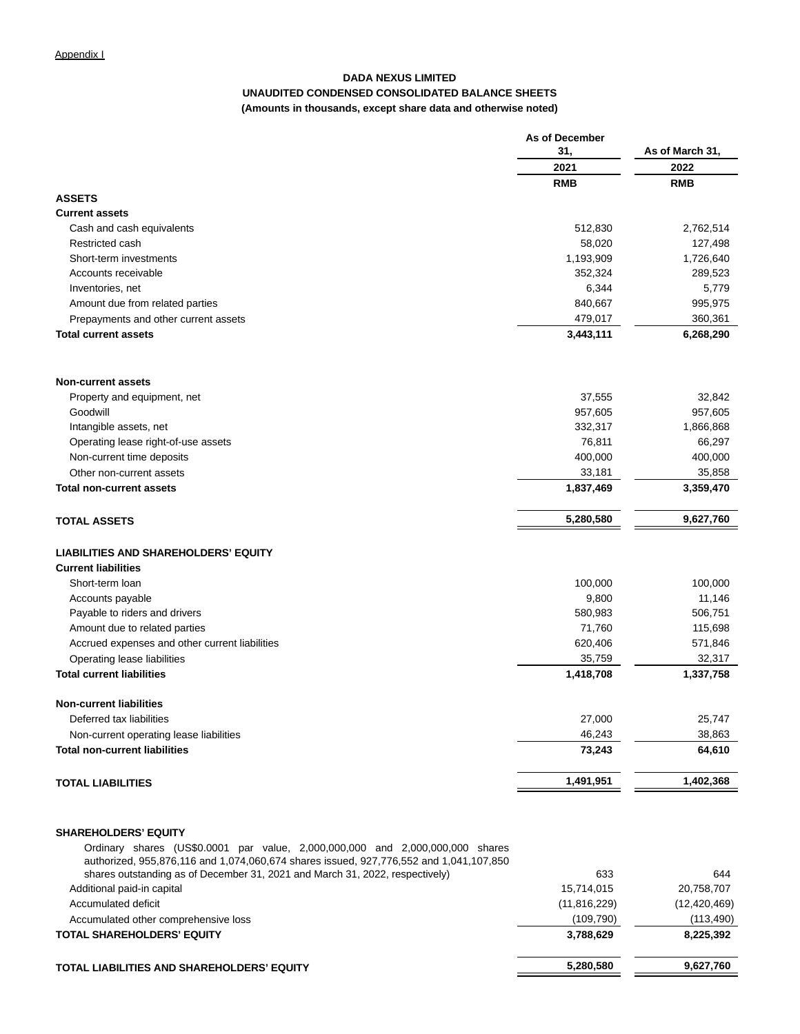# **DADA NEXUS LIMITED**

# **UNAUDITED CONDENSED CONSOLIDATED BALANCE SHEETS (Amounts in thousands, except share data and otherwise noted)**

| 2021<br>2022<br><b>RMB</b><br><b>RMB</b><br><b>ASSETS</b><br>Cash and cash equivalents<br>512,830<br>2,762,514<br>127,498<br>Restricted cash<br>58,020<br>1,193,909<br>Short-term investments<br>1,726,640<br>352,324<br>Accounts receivable<br>289,523<br>6,344<br>5,779<br>Inventories, net<br>840,667<br>995,975<br>Amount due from related parties<br>479,017<br>360,361<br>Prepayments and other current assets<br><b>Total current assets</b><br>3,443,111<br>6,268,290<br>37,555<br>32,842<br>Property and equipment, net<br>957,605<br>957,605<br>Goodwill<br>332,317<br>Intangible assets, net<br>1,866,868<br>76,811<br>Operating lease right-of-use assets<br>66,297<br>Non-current time deposits<br>400,000<br>400,000<br>33,181<br>35,858<br>Other non-current assets<br>1,837,469<br>3,359,470<br>5,280,580<br>9,627,760<br><b>LIABILITIES AND SHAREHOLDERS' EQUITY</b><br><b>Current liabilities</b><br>100,000<br>Short-term loan<br>100,000<br>9,800<br>Accounts payable<br>11,146<br>580,983<br>Payable to riders and drivers<br>506,751<br>71,760<br>Amount due to related parties<br>115,698<br>Accrued expenses and other current liabilities<br>620,406<br>571,846<br>35,759<br>32,317<br>Operating lease liabilities<br><b>Total current liabilities</b><br>1,418,708<br>1,337,758<br><b>Non-current liabilities</b><br>27,000<br>25,747<br>Deferred tax liabilities<br>38,863<br>46,243<br>Non-current operating lease liabilities<br>73,243<br>64,610<br>1,491,951<br>1,402,368<br><b>SHAREHOLDERS' EQUITY</b><br>Ordinary shares (US\$0.0001 par value, 2,000,000,000 and 2,000,000,000 shares<br>authorized, 955,876,116 and 1,074,060,674 shares issued, 927,776,552 and 1,041,107,850<br>shares outstanding as of December 31, 2021 and March 31, 2022, respectively)<br>633<br>644 |                                      | As of December |                 |  |
|------------------------------------------------------------------------------------------------------------------------------------------------------------------------------------------------------------------------------------------------------------------------------------------------------------------------------------------------------------------------------------------------------------------------------------------------------------------------------------------------------------------------------------------------------------------------------------------------------------------------------------------------------------------------------------------------------------------------------------------------------------------------------------------------------------------------------------------------------------------------------------------------------------------------------------------------------------------------------------------------------------------------------------------------------------------------------------------------------------------------------------------------------------------------------------------------------------------------------------------------------------------------------------------------------------------------------------------------------------------------------------------------------------------------------------------------------------------------------------------------------------------------------------------------------------------------------------------------------------------------------------------------------------------------------------------------------------------------------------------------------------------------------------------------------------------|--------------------------------------|----------------|-----------------|--|
|                                                                                                                                                                                                                                                                                                                                                                                                                                                                                                                                                                                                                                                                                                                                                                                                                                                                                                                                                                                                                                                                                                                                                                                                                                                                                                                                                                                                                                                                                                                                                                                                                                                                                                                                                                                                                  |                                      | 31,            | As of March 31, |  |
|                                                                                                                                                                                                                                                                                                                                                                                                                                                                                                                                                                                                                                                                                                                                                                                                                                                                                                                                                                                                                                                                                                                                                                                                                                                                                                                                                                                                                                                                                                                                                                                                                                                                                                                                                                                                                  |                                      |                |                 |  |
|                                                                                                                                                                                                                                                                                                                                                                                                                                                                                                                                                                                                                                                                                                                                                                                                                                                                                                                                                                                                                                                                                                                                                                                                                                                                                                                                                                                                                                                                                                                                                                                                                                                                                                                                                                                                                  |                                      |                |                 |  |
|                                                                                                                                                                                                                                                                                                                                                                                                                                                                                                                                                                                                                                                                                                                                                                                                                                                                                                                                                                                                                                                                                                                                                                                                                                                                                                                                                                                                                                                                                                                                                                                                                                                                                                                                                                                                                  | <b>Current assets</b>                |                |                 |  |
|                                                                                                                                                                                                                                                                                                                                                                                                                                                                                                                                                                                                                                                                                                                                                                                                                                                                                                                                                                                                                                                                                                                                                                                                                                                                                                                                                                                                                                                                                                                                                                                                                                                                                                                                                                                                                  |                                      |                |                 |  |
|                                                                                                                                                                                                                                                                                                                                                                                                                                                                                                                                                                                                                                                                                                                                                                                                                                                                                                                                                                                                                                                                                                                                                                                                                                                                                                                                                                                                                                                                                                                                                                                                                                                                                                                                                                                                                  |                                      |                |                 |  |
|                                                                                                                                                                                                                                                                                                                                                                                                                                                                                                                                                                                                                                                                                                                                                                                                                                                                                                                                                                                                                                                                                                                                                                                                                                                                                                                                                                                                                                                                                                                                                                                                                                                                                                                                                                                                                  |                                      |                |                 |  |
|                                                                                                                                                                                                                                                                                                                                                                                                                                                                                                                                                                                                                                                                                                                                                                                                                                                                                                                                                                                                                                                                                                                                                                                                                                                                                                                                                                                                                                                                                                                                                                                                                                                                                                                                                                                                                  |                                      |                |                 |  |
|                                                                                                                                                                                                                                                                                                                                                                                                                                                                                                                                                                                                                                                                                                                                                                                                                                                                                                                                                                                                                                                                                                                                                                                                                                                                                                                                                                                                                                                                                                                                                                                                                                                                                                                                                                                                                  |                                      |                |                 |  |
|                                                                                                                                                                                                                                                                                                                                                                                                                                                                                                                                                                                                                                                                                                                                                                                                                                                                                                                                                                                                                                                                                                                                                                                                                                                                                                                                                                                                                                                                                                                                                                                                                                                                                                                                                                                                                  |                                      |                |                 |  |
|                                                                                                                                                                                                                                                                                                                                                                                                                                                                                                                                                                                                                                                                                                                                                                                                                                                                                                                                                                                                                                                                                                                                                                                                                                                                                                                                                                                                                                                                                                                                                                                                                                                                                                                                                                                                                  |                                      |                |                 |  |
|                                                                                                                                                                                                                                                                                                                                                                                                                                                                                                                                                                                                                                                                                                                                                                                                                                                                                                                                                                                                                                                                                                                                                                                                                                                                                                                                                                                                                                                                                                                                                                                                                                                                                                                                                                                                                  |                                      |                |                 |  |
|                                                                                                                                                                                                                                                                                                                                                                                                                                                                                                                                                                                                                                                                                                                                                                                                                                                                                                                                                                                                                                                                                                                                                                                                                                                                                                                                                                                                                                                                                                                                                                                                                                                                                                                                                                                                                  |                                      |                |                 |  |
|                                                                                                                                                                                                                                                                                                                                                                                                                                                                                                                                                                                                                                                                                                                                                                                                                                                                                                                                                                                                                                                                                                                                                                                                                                                                                                                                                                                                                                                                                                                                                                                                                                                                                                                                                                                                                  | <b>Non-current assets</b>            |                |                 |  |
|                                                                                                                                                                                                                                                                                                                                                                                                                                                                                                                                                                                                                                                                                                                                                                                                                                                                                                                                                                                                                                                                                                                                                                                                                                                                                                                                                                                                                                                                                                                                                                                                                                                                                                                                                                                                                  |                                      |                |                 |  |
|                                                                                                                                                                                                                                                                                                                                                                                                                                                                                                                                                                                                                                                                                                                                                                                                                                                                                                                                                                                                                                                                                                                                                                                                                                                                                                                                                                                                                                                                                                                                                                                                                                                                                                                                                                                                                  |                                      |                |                 |  |
|                                                                                                                                                                                                                                                                                                                                                                                                                                                                                                                                                                                                                                                                                                                                                                                                                                                                                                                                                                                                                                                                                                                                                                                                                                                                                                                                                                                                                                                                                                                                                                                                                                                                                                                                                                                                                  |                                      |                |                 |  |
|                                                                                                                                                                                                                                                                                                                                                                                                                                                                                                                                                                                                                                                                                                                                                                                                                                                                                                                                                                                                                                                                                                                                                                                                                                                                                                                                                                                                                                                                                                                                                                                                                                                                                                                                                                                                                  |                                      |                |                 |  |
|                                                                                                                                                                                                                                                                                                                                                                                                                                                                                                                                                                                                                                                                                                                                                                                                                                                                                                                                                                                                                                                                                                                                                                                                                                                                                                                                                                                                                                                                                                                                                                                                                                                                                                                                                                                                                  |                                      |                |                 |  |
|                                                                                                                                                                                                                                                                                                                                                                                                                                                                                                                                                                                                                                                                                                                                                                                                                                                                                                                                                                                                                                                                                                                                                                                                                                                                                                                                                                                                                                                                                                                                                                                                                                                                                                                                                                                                                  |                                      |                |                 |  |
|                                                                                                                                                                                                                                                                                                                                                                                                                                                                                                                                                                                                                                                                                                                                                                                                                                                                                                                                                                                                                                                                                                                                                                                                                                                                                                                                                                                                                                                                                                                                                                                                                                                                                                                                                                                                                  | <b>Total non-current assets</b>      |                |                 |  |
|                                                                                                                                                                                                                                                                                                                                                                                                                                                                                                                                                                                                                                                                                                                                                                                                                                                                                                                                                                                                                                                                                                                                                                                                                                                                                                                                                                                                                                                                                                                                                                                                                                                                                                                                                                                                                  | <b>TOTAL ASSETS</b>                  |                |                 |  |
|                                                                                                                                                                                                                                                                                                                                                                                                                                                                                                                                                                                                                                                                                                                                                                                                                                                                                                                                                                                                                                                                                                                                                                                                                                                                                                                                                                                                                                                                                                                                                                                                                                                                                                                                                                                                                  |                                      |                |                 |  |
|                                                                                                                                                                                                                                                                                                                                                                                                                                                                                                                                                                                                                                                                                                                                                                                                                                                                                                                                                                                                                                                                                                                                                                                                                                                                                                                                                                                                                                                                                                                                                                                                                                                                                                                                                                                                                  |                                      |                |                 |  |
|                                                                                                                                                                                                                                                                                                                                                                                                                                                                                                                                                                                                                                                                                                                                                                                                                                                                                                                                                                                                                                                                                                                                                                                                                                                                                                                                                                                                                                                                                                                                                                                                                                                                                                                                                                                                                  |                                      |                |                 |  |
|                                                                                                                                                                                                                                                                                                                                                                                                                                                                                                                                                                                                                                                                                                                                                                                                                                                                                                                                                                                                                                                                                                                                                                                                                                                                                                                                                                                                                                                                                                                                                                                                                                                                                                                                                                                                                  |                                      |                |                 |  |
|                                                                                                                                                                                                                                                                                                                                                                                                                                                                                                                                                                                                                                                                                                                                                                                                                                                                                                                                                                                                                                                                                                                                                                                                                                                                                                                                                                                                                                                                                                                                                                                                                                                                                                                                                                                                                  |                                      |                |                 |  |
|                                                                                                                                                                                                                                                                                                                                                                                                                                                                                                                                                                                                                                                                                                                                                                                                                                                                                                                                                                                                                                                                                                                                                                                                                                                                                                                                                                                                                                                                                                                                                                                                                                                                                                                                                                                                                  |                                      |                |                 |  |
|                                                                                                                                                                                                                                                                                                                                                                                                                                                                                                                                                                                                                                                                                                                                                                                                                                                                                                                                                                                                                                                                                                                                                                                                                                                                                                                                                                                                                                                                                                                                                                                                                                                                                                                                                                                                                  |                                      |                |                 |  |
|                                                                                                                                                                                                                                                                                                                                                                                                                                                                                                                                                                                                                                                                                                                                                                                                                                                                                                                                                                                                                                                                                                                                                                                                                                                                                                                                                                                                                                                                                                                                                                                                                                                                                                                                                                                                                  |                                      |                |                 |  |
|                                                                                                                                                                                                                                                                                                                                                                                                                                                                                                                                                                                                                                                                                                                                                                                                                                                                                                                                                                                                                                                                                                                                                                                                                                                                                                                                                                                                                                                                                                                                                                                                                                                                                                                                                                                                                  |                                      |                |                 |  |
|                                                                                                                                                                                                                                                                                                                                                                                                                                                                                                                                                                                                                                                                                                                                                                                                                                                                                                                                                                                                                                                                                                                                                                                                                                                                                                                                                                                                                                                                                                                                                                                                                                                                                                                                                                                                                  |                                      |                |                 |  |
|                                                                                                                                                                                                                                                                                                                                                                                                                                                                                                                                                                                                                                                                                                                                                                                                                                                                                                                                                                                                                                                                                                                                                                                                                                                                                                                                                                                                                                                                                                                                                                                                                                                                                                                                                                                                                  |                                      |                |                 |  |
|                                                                                                                                                                                                                                                                                                                                                                                                                                                                                                                                                                                                                                                                                                                                                                                                                                                                                                                                                                                                                                                                                                                                                                                                                                                                                                                                                                                                                                                                                                                                                                                                                                                                                                                                                                                                                  |                                      |                |                 |  |
|                                                                                                                                                                                                                                                                                                                                                                                                                                                                                                                                                                                                                                                                                                                                                                                                                                                                                                                                                                                                                                                                                                                                                                                                                                                                                                                                                                                                                                                                                                                                                                                                                                                                                                                                                                                                                  |                                      |                |                 |  |
|                                                                                                                                                                                                                                                                                                                                                                                                                                                                                                                                                                                                                                                                                                                                                                                                                                                                                                                                                                                                                                                                                                                                                                                                                                                                                                                                                                                                                                                                                                                                                                                                                                                                                                                                                                                                                  | <b>Total non-current liabilities</b> |                |                 |  |
|                                                                                                                                                                                                                                                                                                                                                                                                                                                                                                                                                                                                                                                                                                                                                                                                                                                                                                                                                                                                                                                                                                                                                                                                                                                                                                                                                                                                                                                                                                                                                                                                                                                                                                                                                                                                                  | <b>TOTAL LIABILITIES</b>             |                |                 |  |
|                                                                                                                                                                                                                                                                                                                                                                                                                                                                                                                                                                                                                                                                                                                                                                                                                                                                                                                                                                                                                                                                                                                                                                                                                                                                                                                                                                                                                                                                                                                                                                                                                                                                                                                                                                                                                  |                                      |                |                 |  |
|                                                                                                                                                                                                                                                                                                                                                                                                                                                                                                                                                                                                                                                                                                                                                                                                                                                                                                                                                                                                                                                                                                                                                                                                                                                                                                                                                                                                                                                                                                                                                                                                                                                                                                                                                                                                                  |                                      |                |                 |  |
|                                                                                                                                                                                                                                                                                                                                                                                                                                                                                                                                                                                                                                                                                                                                                                                                                                                                                                                                                                                                                                                                                                                                                                                                                                                                                                                                                                                                                                                                                                                                                                                                                                                                                                                                                                                                                  |                                      |                |                 |  |
|                                                                                                                                                                                                                                                                                                                                                                                                                                                                                                                                                                                                                                                                                                                                                                                                                                                                                                                                                                                                                                                                                                                                                                                                                                                                                                                                                                                                                                                                                                                                                                                                                                                                                                                                                                                                                  |                                      |                |                 |  |
| Additional paid-in capital<br>15,714,015<br>20,758,707                                                                                                                                                                                                                                                                                                                                                                                                                                                                                                                                                                                                                                                                                                                                                                                                                                                                                                                                                                                                                                                                                                                                                                                                                                                                                                                                                                                                                                                                                                                                                                                                                                                                                                                                                           |                                      |                |                 |  |

| Accumulated deficit | (11,816,229) | (12, 420, 469) |
|---------------------|--------------|----------------|
|                     |              |                |

| , www.naratou aonor.                 | .         | $1 - 7 - 0.700$ |
|--------------------------------------|-----------|-----------------|
| Accumulated other comprehensive loss | (109.790) | (113.490)       |

# **TOTAL SHAREHOLDERS' EQUITY 3,788,629 8,225,392**

| .280.580 | 9.627.760 |
|----------|-----------|
|          |           |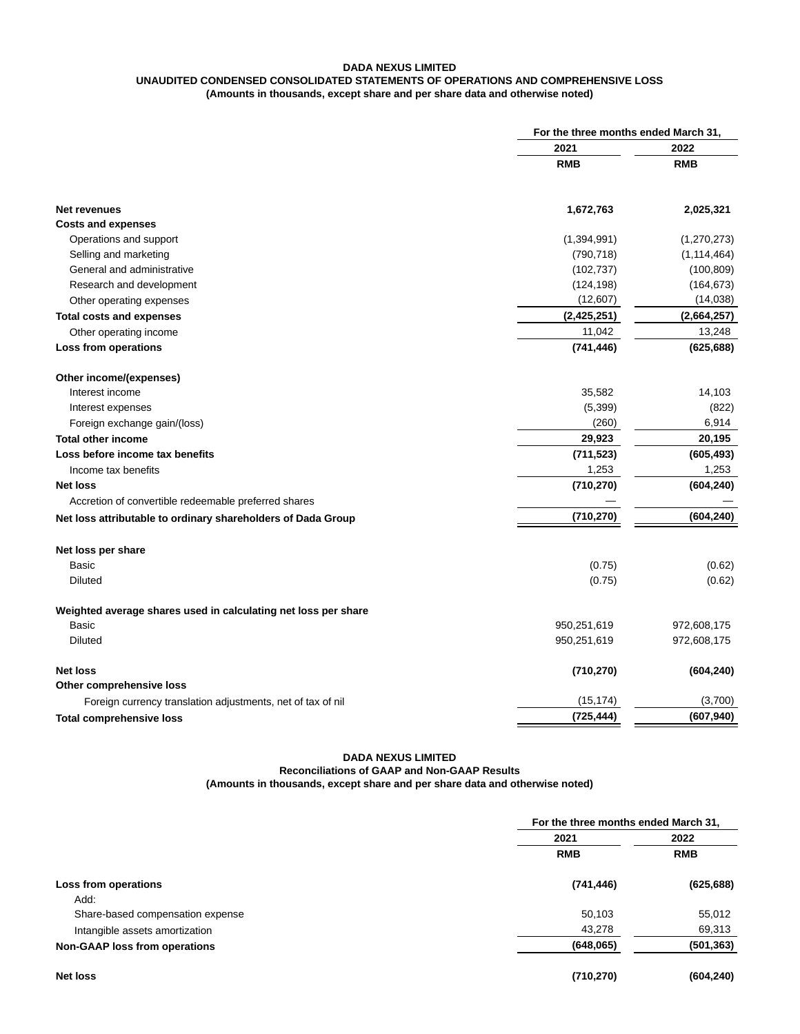## **DADA NEXUS LIMITED UNAUDITED CONDENSED CONSOLIDATED STATEMENTS OF OPERATIONS AND COMPREHENSIVE LOSS (Amounts in thousands, except share and per share data and otherwise noted)**

|                                                                | For the three months ended March 31, |                    |
|----------------------------------------------------------------|--------------------------------------|--------------------|
|                                                                | 2021                                 | 2022<br><b>RMB</b> |
|                                                                | <b>RMB</b>                           |                    |
| Net revenues                                                   | 1,672,763                            | 2,025,321          |
| <b>Costs and expenses</b>                                      |                                      |                    |
| Operations and support                                         | (1, 394, 991)                        | (1, 270, 273)      |
| Selling and marketing                                          | (790, 718)                           | (1, 114, 464)      |
| General and administrative                                     | (102, 737)                           | (100, 809)         |
| Research and development                                       | (124, 198)                           | (164, 673)         |
| Other operating expenses                                       | (12,607)                             | (14, 038)          |
| <b>Total costs and expenses</b>                                | (2,425,251)                          | (2,664,257)        |
| Other operating income                                         | 11,042                               | 13,248             |
| Loss from operations                                           | (741, 446)                           | (625, 688)         |
| Other income/(expenses)                                        |                                      |                    |
| Interest income                                                | 35,582                               | 14,103             |
| Interest expenses                                              | (5, 399)                             | (822)              |
| Foreign exchange gain/(loss)                                   | (260)                                | 6,914              |
| <b>Total other income</b>                                      | 29,923                               | 20,195             |
| Loss before income tax benefits                                | (711, 523)                           | (605, 493)         |
| Income tax benefits                                            | 1,253                                | 1,253              |
| <b>Net loss</b>                                                | (710, 270)                           | (604, 240)         |
| Accretion of convertible redeemable preferred shares           |                                      |                    |
| Net loss attributable to ordinary shareholders of Dada Group   | (710, 270)                           | (604, 240)         |
| Net loss per share                                             |                                      |                    |
| Basic                                                          | (0.75)                               | (0.62)             |
| <b>Diluted</b>                                                 | (0.75)                               | (0.62)             |
| Weighted average shares used in calculating net loss per share |                                      |                    |
| Basic                                                          | 950,251,619                          | 972,608,175        |
| <b>Diluted</b>                                                 | 950,251,619                          | 972,608,175        |
| <b>Net loss</b>                                                | (710, 270)                           | (604, 240)         |
| Other comprehensive loss                                       |                                      |                    |
| Foreign currency translation adjustments, net of tax of nil    | (15, 174)                            | (3,700)            |
| <b>Total comprehensive loss</b>                                | (725, 444)                           | (607, 940)         |

# **DADA NEXUS LIMITED Reconciliations of GAAP and Non-GAAP Results (Amounts in thousands, except share and per share data and otherwise noted)**

|                                  | For the three months ended March 31, |                    |
|----------------------------------|--------------------------------------|--------------------|
|                                  | 2021                                 | 2022<br><b>RMB</b> |
|                                  | <b>RMB</b>                           |                    |
| Loss from operations             | (741, 446)                           | (625, 688)         |
| Add:                             |                                      |                    |
| Share-based compensation expense | 50,103                               | 55,012             |
| Intangible assets amortization   | 43,278                               | 69,313             |
| Non-GAAP loss from operations    | (648,065)                            | (501, 363)         |
| <b>Net loss</b>                  | (710, 270)                           | (604, 240)         |